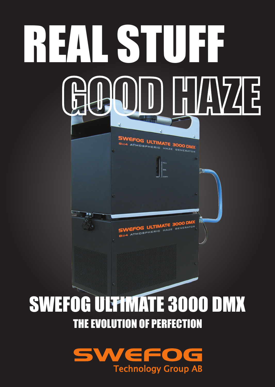

## SWEFOG ULTIMATE 3000 DMX THE EVOLUTION OF PERFECTION